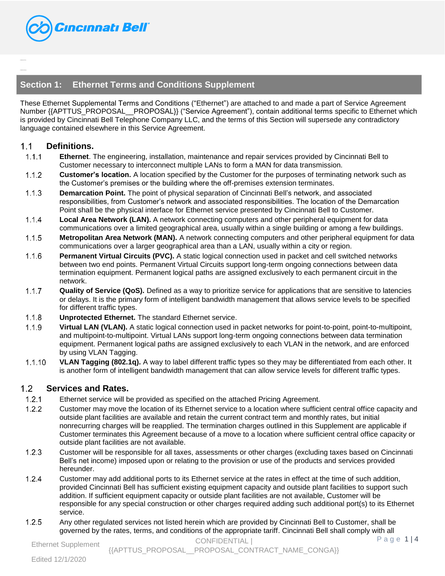

# **Section 1: Ethernet Terms and Conditions Supplement**

These Ethernet Supplemental Terms and Conditions ("Ethernet") are attached to and made a part of Service Agreement Number {{APTTUS\_PROPOSAL\_\_PROPOSAL}} ("Service Agreement"), contain additional terms specific to Ethernet which is provided by Cincinnati Bell Telephone Company LLC, and the terms of this Section will supersede any contradictory language contained elsewhere in this Service Agreement.

#### $1<sub>1</sub>$ **Definitions.**

{{TableHi de:D LD}} {{TableHi de:Metro}}

- $1.1.1$ **Ethernet**. The engineering, installation, maintenance and repair services provided by Cincinnati Bell to Customer necessary to interconnect multiple LANs to form a MAN for data transmission.
- $1.1.2$ **Customer's location.** A location specified by the Customer for the purposes of terminating network such as the Customer's premises or the building where the off-premises extension terminates.
- $1.1.3$ **Demarcation Point.** The point of physical separation of Cincinnati Bell's network, and associated responsibilities, from Customer's network and associated responsibilities. The location of the Demarcation Point shall be the physical interface for Ethernet service presented by Cincinnati Bell to Customer.
- $1.1.4$ **Local Area Network (LAN).** A network connecting computers and other peripheral equipment for data communications over a limited geographical area, usually within a single building or among a few buildings.
- $1.1.5$ **Metropolitan Area Network (MAN).** A network connecting computers and other peripheral equipment for data communications over a larger geographical area than a LAN, usually within a city or region.
- $1.1.6$ **Permanent Virtual Circuits (PVC).** A static logical connection used in packet and cell switched networks between two end points. Permanent Virtual Circuits support long-term ongoing connections between data termination equipment. Permanent logical paths are assigned exclusively to each permanent circuit in the network.
- $1.1.7$ **Quality of Service (QoS).** Defined as a way to prioritize service for applications that are sensitive to latencies or delays. It is the primary form of intelligent bandwidth management that allows service levels to be specified for different traffic types.
- $1.1.8$ **Unprotected Ethernet.** The standard Ethernet service.
- $1.1.9$ **Virtual LAN (VLAN).** A static logical connection used in packet networks for point-to-point, point-to-multipoint, and multipoint-to-multipoint. Virtual LANs support long-term ongoing connections between data termination equipment. Permanent logical paths are assigned exclusively to each VLAN in the network, and are enforced by using VLAN Tagging.
- $1.1.10$ **VLAN Tagging (802.1q).** A way to label different traffic types so they may be differentiated from each other. It is another form of intelligent bandwidth management that can allow service levels for different traffic types.

#### $1.2$ **Services and Rates.**

- $1.2.1$ Ethernet service will be provided as specified on the attached Pricing Agreement.
- $1.2.2$ Customer may move the location of its Ethernet service to a location where sufficient central office capacity and outside plant facilities are available and retain the current contract term and monthly rates, but initial nonrecurring charges will be reapplied. The termination charges outlined in this Supplement are applicable if Customer terminates this Agreement because of a move to a location where sufficient central office capacity or outside plant facilities are not available.
- $1.2.3$ Customer will be responsible for all taxes, assessments or other charges (excluding taxes based on Cincinnati Bell's net income) imposed upon or relating to the provision or use of the products and services provided hereunder.
- $1.2.4$ Customer may add additional ports to its Ethernet service at the rates in effect at the time of such addition, provided Cincinnati Bell has sufficient existing equipment capacity and outside plant facilities to support such addition. If sufficient equipment capacity or outside plant facilities are not available, Customer will be responsible for any special construction or other charges required adding such additional port(s) to its Ethernet service.
- $1.2.5$ Any other regulated services not listed herein which are provided by Cincinnati Bell to Customer, shall be governed by the rates, terms, and conditions of the appropriate tariff. Cincinnati Bell shall comply with all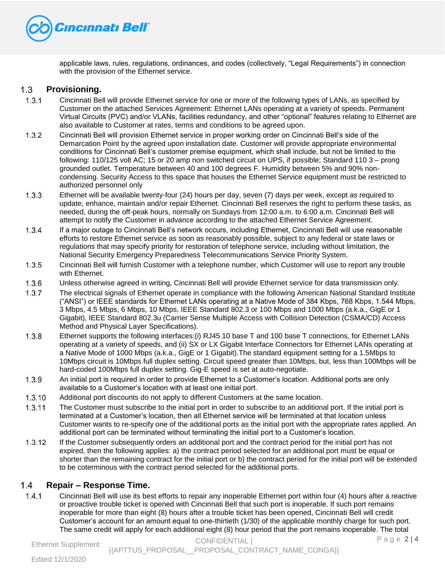

applicable laws, rules, regulations, ordinances, and codes (collectively, "Legal Requirements") in connection with the provision of the Ethernet service.

#### $1.3$ **Provisioning.**

- $1.3.1$ Cincinnati Bell will provide Ethernet service for one or more of the following types of LANs, as specified by Customer on the attached Services Agreement: Ethernet LANs operating at a variety of speeds. Permanent Virtual Circuits (PVC) and/or VLANs, facilities redundancy, and other "optional" features relating to Ethernet are also available to Customer at rates, terms and conditions to be agreed upon.
- $1.3.2$ Cincinnati Bell will provision Ethernet service in proper working order on Cincinnati Bell's side of the Demarcation Point by the agreed upon installation date. Customer will provide appropriate environmental conditions for Cincinnati Bell's customer premise equipment, which shall include, but not be limited to the following: 110/125 volt AC; 15 or 20 amp non switched circuit on UPS, if possible; Standard 110 3 – prong grounded outlet. Temperature between 40 and 100 degrees F. Humidity between 5% and 90% noncondensing. Security Access to this space that houses the Ethernet Service equipment must be restricted to authorized personnel only
- Ethernet will be available twenty-four (24) hours per day, seven (7) days per week, except as required to  $1.3.3$ update, enhance, maintain and/or repair Ethernet. Cincinnati Bell reserves the right to perform these tasks, as needed, during the off-peak hours, normally on Sundays from 12:00 a.m. to 6:00 a.m. Cincinnati Bell will attempt to notify the Customer in advance according to the attached Ethernet Service Agreement.
- $1.3.4$ If a major outage to Cincinnati Bell's network occurs, including Ethernet, Cincinnati Bell will use reasonable efforts to restore Ethernet service as soon as reasonably possible, subject to any federal or state laws or regulations that may specify priority for restoration of telephone service, including without limitation, the National Security Emergency Preparedness Telecommunications Service Priority System.
- Cincinnati Bell will furnish Customer with a telephone number, which Customer will use to report any trouble  $1.3.5$ with Ethernet.
- $1.3.6$ Unless otherwise agreed in writing, Cincinnati Bell will provide Ethernet service for data transmission only.
- $1.3.7$ The electrical signals of Ethernet operate in compliance with the following American National Standard Institute ("ANSI") or IEEE standards for Ethernet LANs operating at a Native Mode of 384 Kbps, 768 Kbps, 1.544 Mbps, 3 Mbps, 4.5 Mbps, 6 Mbps, 10 Mbps, IEEE Standard 802.3 or 100 Mbps and 1000 Mbps (a.k.a., GigE or 1 Gigabit), IEEE Standard 802.3u (Carrier Sense Multiple Access with Collision Detection (CSMA/CD) Access Method and Physical Layer Specifications).
- $1.3.8$ Ethernet supports the following interfaces:(i) RJ45 10 base T and 100 base T connections, for Ethernet LANs operating at a variety of speeds, and (ii) SX or LX Gigabit Interface Connectors for Ethernet LANs operating at a Native Mode of 1000 Mbps (a.k.a., GigE or 1 Gigabit).The standard equipment setting for a 1.5Mbps to 10Mbps circuit is 10Mbps full duplex setting. Circuit speed greater than 10Mbps, but, less than 100Mbps will be hard-coded 100Mbps full duplex setting. Gig-E speed is set at auto-negotiate.
- $1.3.9$ An initial port is required in order to provide Ethernet to a Customer's location. Additional ports are only available to a Customer's location with at least one initial port.
- $1.3.10$ Additional port discounts do not apply to different Customers at the same location.
- $1.3.11$ The Customer must subscribe to the initial port in order to subscribe to an additional port. If the initial port is terminated at a Customer's location, then all Ethernet service will be terminated at that location unless Customer wants to re-specify one of the additional ports as the initial port with the appropriate rates applied. An additional port can be terminated without terminating the initial port to a Customer's location.
- $1.3.12$ If the Customer subsequently orders an additional port and the contract period for the initial port has not expired, then the following applies: a) the contract period selected for an additional port must be equal or shorter than the remaining contract for the initial port or b) the contract period for the initial port will be extended to be coterminous with the contract period selected for the additional ports.

## $1.4$ **Repair – Response Time.**

 $1.4.1$ Cincinnati Bell will use its best efforts to repair any inoperable Ethernet port within four (4) hours after a reactive or proactive trouble ticket is opened with Cincinnati Bell that such port is inoperable. If such port remains inoperable for more than eight (8) hours after a trouble ticket has been opened, Cincinnati Bell will credit Customer's account for an amount equal to one-thirtieth (1/30) of the applicable monthly charge for such port. The same credit will apply for each additional eight (8) hour period that the port remains inoperable. The total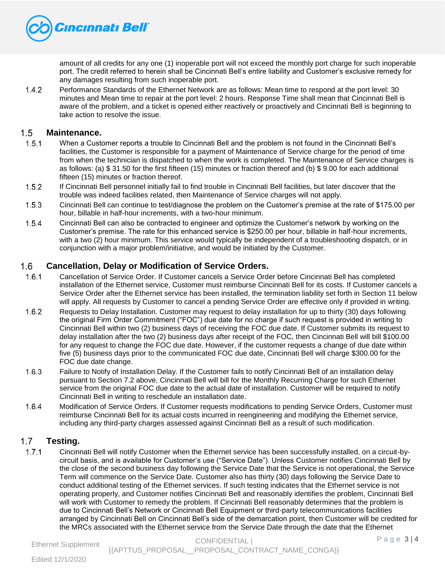

amount of all credits for any one (1) inoperable port will not exceed the monthly port charge for such inoperable port. The credit referred to herein shall be Cincinnati Bell's entire liability and Customer's exclusive remedy for any damages resulting from such inoperable port.

 $1.4.2$ Performance Standards of the Ethernet Network are as follows: Mean time to respond at the port level: 30 minutes and Mean time to repair at the port level: 2 hours. Response Time shall mean that Cincinnati Bell is aware of the problem, and a ticket is opened either reactively or proactively and Cincinnati Bell is beginning to take action to resolve the issue.

#### $1.5$ **Maintenance.**

- $1.5.1$ When a Customer reports a trouble to Cincinnati Bell and the problem is not found in the Cincinnati Bell's facilities, the Customer is responsible for a payment of Maintenance of Service charge for the period of time from when the technician is dispatched to when the work is completed. The Maintenance of Service charges is as follows: (a) \$ 31.50 for the first fifteen (15) minutes or fraction thereof and (b) \$ 9.00 for each additional fifteen (15) minutes or fraction thereof.
- $1.5.2$ If Cincinnati Bell personnel initially fail to find trouble in Cincinnati Bell facilities, but later discover that the trouble was indeed facilities related, then Maintenance of Service charges will not apply.
- Cincinnati Bell can continue to test/diagnose the problem on the Customer's premise at the rate of \$175.00 per  $1.5.3$ hour, billable in half-hour increments, with a two-hour minimum.
- $1.5.4$ Cincinnati Bell can also be contracted to engineer and optimize the Customer's network by working on the Customer's premise. The rate for this enhanced service is \$250.00 per hour, billable in half-hour increments, with a two (2) hour minimum. This service would typically be independent of a troubleshooting dispatch, or in conjunction with a major problem/initiative, and would be initiated by the Customer.

#### **Cancellation, Delay or Modification of Service Orders.**   $1.6$

- $1.6.1$ Cancellation of Service Order. If Customer cancels a Service Order before Cincinnati Bell has completed installation of the Ethernet service, Customer must reimburse Cincinnati Bell for its costs. If Customer cancels a Service Order after the Ethernet service has been installed, the termination liability set forth in Section 11 below will apply. All requests by Customer to cancel a pending Service Order are effective only if provided in writing.
- $1.6.2$ Requests to Delay Installation. Customer may request to delay installation for up to thirty (30) days following the original Firm Order Commitment ("FOC") due date for no charge if such request is provided in writing to Cincinnati Bell within two (2) business days of receiving the FOC due date. If Customer submits its request to delay installation after the two (2) business days after receipt of the FOC, then Cincinnati Bell will bill \$100.00 for any request to change the FOC due date. However, if the customer requests a change of due date within five (5) business days prior to the communicated FOC due date, Cincinnati Bell will charge \$300.00 for the FOC due date change.
- $1.6.3$ Failure to Notify of Installation Delay. If the Customer fails to notify Cincinnati Bell of an installation delay pursuant to Section 7.2 above, Cincinnati Bell will bill for the Monthly Recurring Charge for such Ethernet service from the original FOC due date to the actual date of installation. Customer will be required to notify Cincinnati Bell in writing to reschedule an installation date.
- $1.6.4$ Modification of Service Orders. If Customer requests modifications to pending Service Orders, Customer must reimburse Cincinnati Bell for its actual costs incurred in reengineering and modifying the Ethernet service, including any third-party charges assessed against Cincinnati Bell as a result of such modification.

#### $1.7$ **Testing.**

 $1.7.1$ Cincinnati Bell will notify Customer when the Ethernet service has been successfully installed, on a circuit-bycircuit basis, and is available for Customer's use ("Service Date"). Unless Customer notifies Cincinnati Bell by the close of the second business day following the Service Date that the Service is not operational, the Service Term will commence on the Service Date. Customer also has thirty (30) days following the Service Date to conduct additional testing of the Ethernet services. If such testing indicates that the Ethernet service is not operating properly, and Customer notifies Cincinnati Bell and reasonably identifies the problem, Cincinnati Bell will work with Customer to remedy the problem. If Cincinnati Bell reasonably determines that the problem is due to Cincinnati Bell's Network or Cincinnati Bell Equipment or third-party telecommunications facilities arranged by Cincinnati Bell on Cincinnati Bell's side of the demarcation point, then Customer will be credited for the MRCs associated with the Ethernet service from the Service Date through the date that the Ethernet